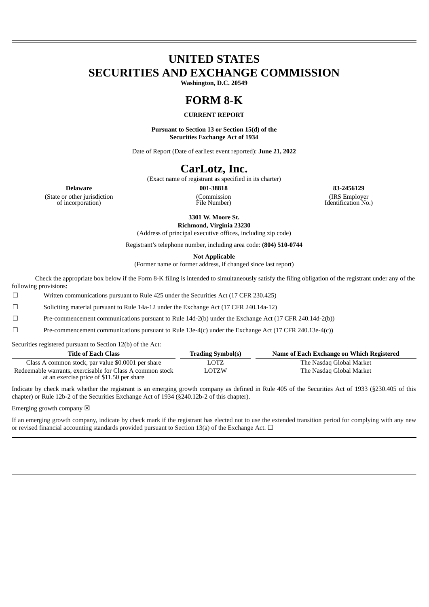# **UNITED STATES SECURITIES AND EXCHANGE COMMISSION**

**Washington, D.C. 20549**

# **FORM 8-K**

## **CURRENT REPORT**

**Pursuant to Section 13 or Section 15(d) of the Securities Exchange Act of 1934**

Date of Report (Date of earliest event reported): **June 21, 2022**

## **CarLotz, Inc.**

(Exact name of registrant as specified in its charter)

(Commission File Number)

**Delaware 001-38818 83-2456129** (IRS Employer Identification No.)

(State or other jurisdiction of incorporation)

**3301 W. Moore St.**

**Richmond, Virginia 23230**

(Address of principal executive offices, including zip code)

Registrant's telephone number, including area code: **(804) 510-0744**

**Not Applicable**

(Former name or former address, if changed since last report)

Check the appropriate box below if the Form 8-K filing is intended to simultaneously satisfy the filing obligation of the registrant under any of the following provisions:

☐ Written communications pursuant to Rule 425 under the Securities Act (17 CFR 230.425)

☐ Soliciting material pursuant to Rule 14a-12 under the Exchange Act (17 CFR 240.14a-12)

☐ Pre-commencement communications pursuant to Rule 14d-2(b) under the Exchange Act (17 CFR 240.14d-2(b))

☐ Pre-commencement communications pursuant to Rule 13e-4(c) under the Exchange Act (17 CFR 240.13e-4(c))

Securities registered pursuant to Section 12(b) of the Act:

| <b>Title of Each Class</b>                                                                             | <b>Trading Symbol(s)</b> | Name of Each Exchange on Which Registered |
|--------------------------------------------------------------------------------------------------------|--------------------------|-------------------------------------------|
| Class A common stock, par value \$0.0001 per share                                                     | LOTZ                     | The Nasdag Global Market                  |
| Redeemable warrants, exercisable for Class A common stock<br>at an exercise price of \$11.50 per share | LOTZW                    | The Nasdag Global Market                  |

Indicate by check mark whether the registrant is an emerging growth company as defined in Rule 405 of the Securities Act of 1933 (§230.405 of this chapter) or Rule 12b-2 of the Securities Exchange Act of 1934 (§240.12b-2 of this chapter).

Emerging growth company  $\boxtimes$ 

If an emerging growth company, indicate by check mark if the registrant has elected not to use the extended transition period for complying with any new or revised financial accounting standards provided pursuant to Section 13(a) of the Exchange Act.  $\Box$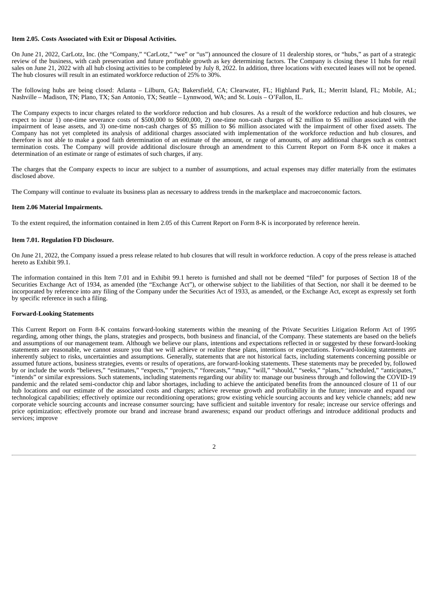#### **Item 2.05. Costs Associated with Exit or Disposal Activities.**

On June 21, 2022, CarLotz, Inc. (the "Company," "CarLotz," "we" or "us") announced the closure of 11 dealership stores, or "hubs," as part of a strategic review of the business, with cash preservation and future profitable growth as key determining factors. The Company is closing these 11 hubs for retail sales on June 21, 2022 with all hub closing activities to be completed by July 8, 2022. In addition, three locations with executed leases will not be opened. The hub closures will result in an estimated workforce reduction of 25% to 30%.

The following hubs are being closed: Atlanta – Lilburn, GA; Bakersfield, CA; Clearwater, FL; Highland Park, IL; Merritt Island, FL; Mobile, AL; Nashville – Madison, TN; Plano, TX; San Antonio, TX; Seattle – Lynnwood, WA; and St. Louis – O'Fallon, IL.

The Company expects to incur charges related to the workforce reduction and hub closures. As a result of the workforce reduction and hub closures, we expect to incur 1) one-time severance costs of \$500,000 to \$600,000, 2) one-time non-cash charges of \$2 million to \$5 million associated with the impairment of lease assets, and 3) one-time non-cash charges of \$5 million to \$6 million associated with the impairment of other fixed assets. The Company has not yet completed its analysis of additional charges associated with implementation of the workforce reduction and hub closures, and therefore is not able to make a good faith determination of an estimate of the amount, or range of amounts, of any additional charges such as contract termination costs. The Company will provide additional disclosure through an amendment to this Current Report on Form 8-K once it makes a determination of an estimate or range of estimates of such charges, if any.

The charges that the Company expects to incur are subject to a number of assumptions, and actual expenses may differ materially from the estimates disclosed above.

The Company will continue to evaluate its business plan as necessary to address trends in the marketplace and macroeconomic factors.

#### **Item 2.06 Material Impairments.**

To the extent required, the information contained in Item 2.05 of this Current Report on Form 8-K is incorporated by reference herein.

#### **Item 7.01. Regulation FD Disclosure.**

On June 21, 2022, the Company issued a press release related to hub closures that will result in workforce reduction. A copy of the press release is attached hereto as Exhibit 99.1.

The information contained in this Item 7.01 and in Exhibit 99.1 hereto is furnished and shall not be deemed "filed" for purposes of Section 18 of the Securities Exchange Act of 1934, as amended (the "Exchange Act"), or otherwise subject to the liabilities of that Section, nor shall it be deemed to be incorporated by reference into any filing of the Company under the Securities Act of 1933, as amended, or the Exchange Act, except as expressly set forth by specific reference in such a filing.

#### **Forward-Looking Statements**

This Current Report on Form 8-K contains forward-looking statements within the meaning of the Private Securities Litigation Reform Act of 1995 regarding, among other things, the plans, strategies and prospects, both business and financial, of the Company. These statements are based on the beliefs and assumptions of our management team. Although we believe our plans, intentions and expectations reflected in or suggested by these forward-looking statements are reasonable, we cannot assure you that we will achieve or realize these plans, intentions or expectations. Forward-looking statements are inherently subject to risks, uncertainties and assumptions. Generally, statements that are not historical facts, including statements concerning possible or assumed future actions, business strategies, events or results of operations, are forward-looking statements. These statements may be preceded by, followed by or include the words "believes," "estimates," "expects," "projects," "forecasts," "may," "will," "should," "seeks," "plans," "scheduled," "anticipates," "intends" or similar expressions. Such statements, including statements regarding our ability to: manage our business through and following the COVID-19 pandemic and the related semi-conductor chip and labor shortages, including to achieve the anticipated benefits from the announced closure of 11 of our hub locations and our estimate of the associated costs and charges; achieve revenue growth and profitability in the future; innovate and expand our technological capabilities; effectively optimize our reconditioning operations; grow existing vehicle sourcing accounts and key vehicle channels; add new corporate vehicle sourcing accounts and increase consumer sourcing; have sufficient and suitable inventory for resale; increase our service offerings and price optimization; effectively promote our brand and increase brand awareness; expand our product offerings and introduce additional products and services; improve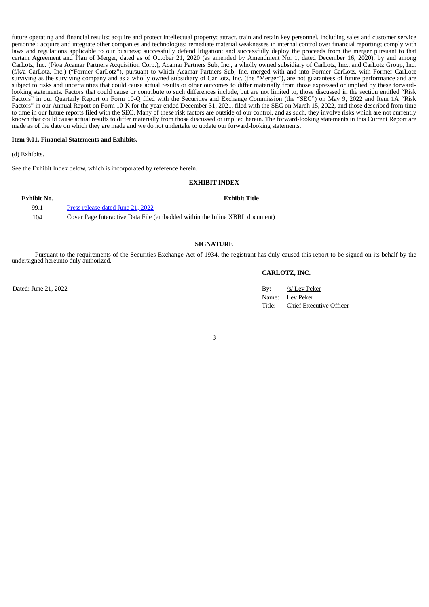future operating and financial results; acquire and protect intellectual property; attract, train and retain key personnel, including sales and customer service personnel; acquire and integrate other companies and technologies; remediate material weaknesses in internal control over financial reporting; comply with laws and regulations applicable to our business; successfully defend litigation; and successfully deploy the proceeds from the merger pursuant to that certain Agreement and Plan of Merger, dated as of October 21, 2020 (as amended by Amendment No. 1, dated December 16, 2020), by and among CarLotz, Inc. (f/k/a Acamar Partners Acquisition Corp.), Acamar Partners Sub, Inc., a wholly owned subsidiary of CarLotz, Inc., and CarLotz Group, Inc. (f/k/a CarLotz, Inc.) ("Former CarLotz"), pursuant to which Acamar Partners Sub, Inc. merged with and into Former CarLotz, with Former CarLotz surviving as the surviving company and as a wholly owned subsidiary of CarLotz, Inc. (the "Merger"), are not guarantees of future performance and are subject to risks and uncertainties that could cause actual results or other outcomes to differ materially from those expressed or implied by these forwardlooking statements. Factors that could cause or contribute to such differences include, but are not limited to, those discussed in the section entitled "Risk Factors" in our Quarterly Report on Form 10-Q filed with the Securities and Exchange Commission (the "SEC") on May 9, 2022 and Item 1A "Risk Factors" in our Annual Report on Form 10-K for the year ended December 31, 2021, filed with the SEC on March 15, 2022, and those described from time to time in our future reports filed with the SEC. Many of these risk factors are outside of our control, and as such, they involve risks which are not currently known that could cause actual results to differ materially from those discussed or implied herein. The forward-looking statements in this Current Report are made as of the date on which they are made and we do not undertake to update our forward-looking statements.

#### **Item 9.01. Financial Statements and Exhibits.**

(d) Exhibits.

See the Exhibit Index below, which is incorporated by reference herein.

#### **EXHIBIT INDEX**

| Exhibit No. | <b>Exhibit Title</b>                                                        |
|-------------|-----------------------------------------------------------------------------|
| 99.1        | Press release dated June 21, 2022                                           |
| 104         | Cover Page Interactive Data File (embedded within the Inline XBRL document) |

#### **SIGNATURE**

Pursuant to the requirements of the Securities Exchange Act of 1934, the registrant has duly caused this report to be signed on its behalf by the undersigned hereunto duly authorized.

#### **CARLOTZ, INC.**

Dated: June 21, 2022 By: /s/ Lev Peker Name: Lev Peker Title: Chief Executive Officer

3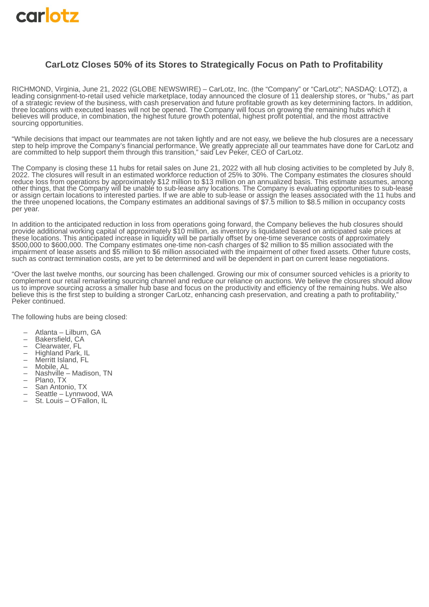<span id="page-3-0"></span>

## **CarLotz Closes 50% of its Stores to Strategically Focus on Path to Profitability**

RICHMOND, Virginia, June 21, 2022 (GLOBE NEWSWIRE) – CarLotz, Inc. (the "Company" or "CarLotz"; NASDAQ: LOTZ), a leading consignment-to-retail used vehicle marketplace, today announced the closure of 11 dealership stores, or "hubs," as part of a strategic review of the business, with cash preservation and future profitable growth as key determining factors. In addition, three locations with executed leases will not be opened. The Company will focus on growing the remaining hubs which it believes will produce, in combination, the highest future growth potential, highest profit potential, and the most attractive sourcing opportunities.

"While decisions that impact our teammates are not taken lightly and are not easy, we believe the hub closures are a necessary step to help improve the Company's financial performance. We greatly appreciate all our teammates have done for CarLotz and are committed to help support them through this transition," said Lev Peker, CEO of CarLotz.

The Company is closing these 11 hubs for retail sales on June 21, 2022 with all hub closing activities to be completed by July 8, 2022. The closures will result in an estimated workforce reduction of 25% to 30%. The Company estimates the closures should reduce loss from operations by approximately \$12 million to \$13 million on an annualized basis. This estimate assumes, among other things, that the Company will be unable to sub-lease any locations. The Company is evaluating opportunities to sub-lease or assign certain locations to interested parties. If we are able to sub-lease or assign the leases associated with the 11 hubs and the three unopened locations, the Company estimates an additional savings of \$7.5 million to \$8.5 million in occupancy costs per year.

In addition to the anticipated reduction in loss from operations going forward, the Company believes the hub closures should provide additional working capital of approximately \$10 million, as inventory is liquidated based on anticipated sale prices at these locations. This anticipated increase in liquidity will be partially offset by one-time severance costs of approximately \$500,000 to \$600,000. The Company estimates one-time non-cash charges of \$2 million to \$5 million associated with the impairment of lease assets and \$5 million to \$6 million associated with the impairment of other fixed assets. Other future costs, such as contract termination costs, are yet to be determined and will be dependent in part on current lease negotiations.

"Over the last twelve months, our sourcing has been challenged. Growing our mix of consumer sourced vehicles is a priority to complement our retail remarketing sourcing channel and reduce our reliance on auctions. We believe the closures should allow us to improve sourcing across a smaller hub base and focus on the productivity and efficiency of the remaining hubs. We also believe this is the first step to building a stronger CarLotz, enhancing cash preservation, and creating a path to profitability," Peker continued.

The following hubs are being closed:

- Atlanta Lilburn, GA
- Bakersfield, CA
- Clearwater, FL
- Highland Park, IL
- Merritt Island, FL
- Mobile, AL
- Nashville Madison, TN
- Plano, TX
- San Antonio, TX
- Seattle Lynnwood, WA
- St. Louis O'Fallon, IL